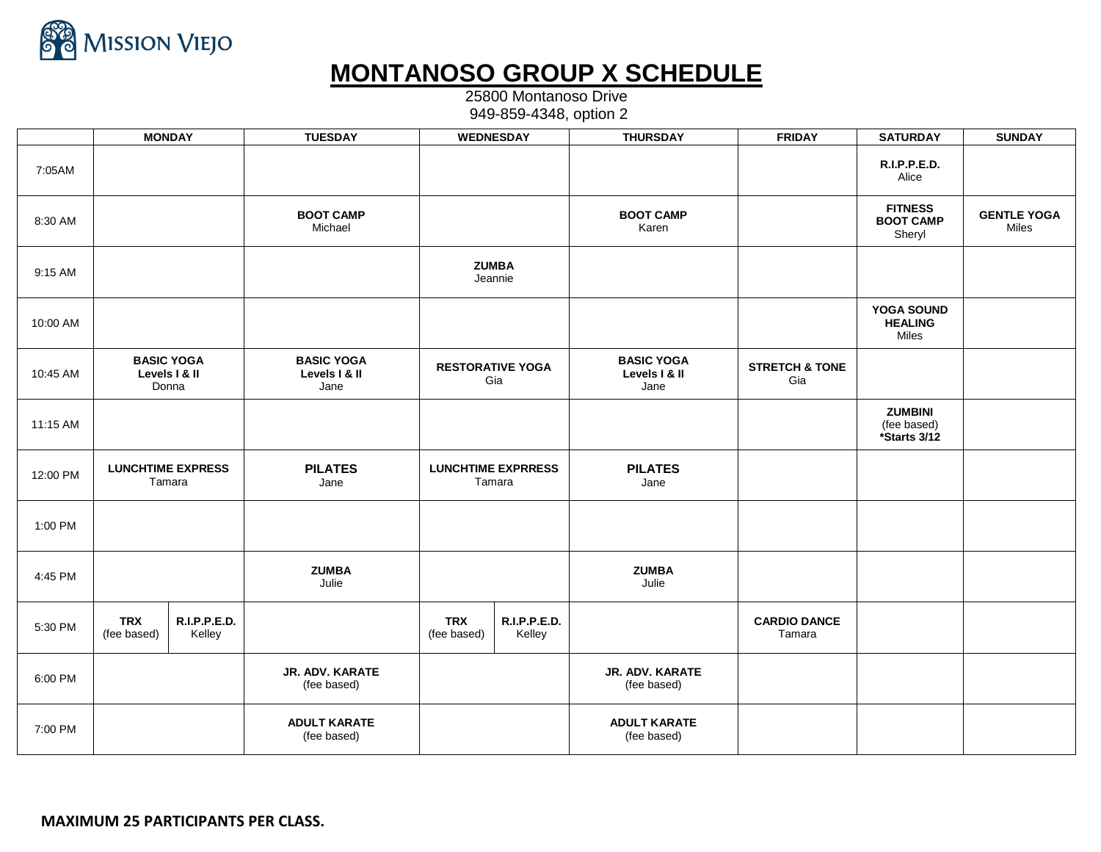

## **MONTANOSO GROUP X SCHEDULE**

25800 Montanoso Drive 949-859-4348, option 2

|          | <b>MONDAY</b>                               |                        | <b>TUESDAY</b>                             | <b>WEDNESDAY</b>                    |                        | <b>THURSDAY</b>                            | <b>FRIDAY</b>                    | <b>SATURDAY</b>                               | <b>SUNDAY</b>               |
|----------|---------------------------------------------|------------------------|--------------------------------------------|-------------------------------------|------------------------|--------------------------------------------|----------------------------------|-----------------------------------------------|-----------------------------|
| 7:05AM   |                                             |                        |                                            |                                     |                        |                                            |                                  | R.I.P.P.E.D.<br>Alice                         |                             |
| 8:30 AM  |                                             |                        | <b>BOOT CAMP</b><br>Michael                |                                     |                        | <b>BOOT CAMP</b><br>Karen                  |                                  | <b>FITNESS</b><br><b>BOOT CAMP</b><br>Sheryl  | <b>GENTLE YOGA</b><br>Miles |
| 9:15 AM  |                                             |                        |                                            | <b>ZUMBA</b><br>Jeannie             |                        |                                            |                                  |                                               |                             |
| 10:00 AM |                                             |                        |                                            |                                     |                        |                                            |                                  | YOGA SOUND<br><b>HEALING</b><br>Miles         |                             |
| 10:45 AM | <b>BASIC YOGA</b><br>Levels   & II<br>Donna |                        | <b>BASIC YOGA</b><br>Levels   & II<br>Jane | <b>RESTORATIVE YOGA</b><br>Gia      |                        | <b>BASIC YOGA</b><br>Levels   & II<br>Jane | <b>STRETCH &amp; TONE</b><br>Gia |                                               |                             |
| 11:15 AM |                                             |                        |                                            |                                     |                        |                                            |                                  | <b>ZUMBINI</b><br>(fee based)<br>*Starts 3/12 |                             |
| 12:00 PM | <b>LUNCHTIME EXPRESS</b><br>Tamara          |                        | <b>PILATES</b><br>Jane                     | <b>LUNCHTIME EXPRRESS</b><br>Tamara |                        | <b>PILATES</b><br>Jane                     |                                  |                                               |                             |
| 1:00 PM  |                                             |                        |                                            |                                     |                        |                                            |                                  |                                               |                             |
| 4:45 PM  |                                             |                        | <b>ZUMBA</b><br>Julie                      |                                     |                        | <b>ZUMBA</b><br>Julie                      |                                  |                                               |                             |
| 5:30 PM  | <b>TRX</b><br>(fee based)                   | R.I.P.P.E.D.<br>Kelley |                                            | <b>TRX</b><br>(fee based)           | R.I.P.P.E.D.<br>Kelley |                                            | <b>CARDIO DANCE</b><br>Tamara    |                                               |                             |
| 6:00 PM  |                                             |                        | JR. ADV. KARATE<br>(fee based)             |                                     |                        | JR. ADV. KARATE<br>(fee based)             |                                  |                                               |                             |
| 7:00 PM  |                                             |                        | <b>ADULT KARATE</b><br>(fee based)         |                                     |                        | <b>ADULT KARATE</b><br>(fee based)         |                                  |                                               |                             |

**MAXIMUM 25 PARTICIPANTS PER CLASS.**